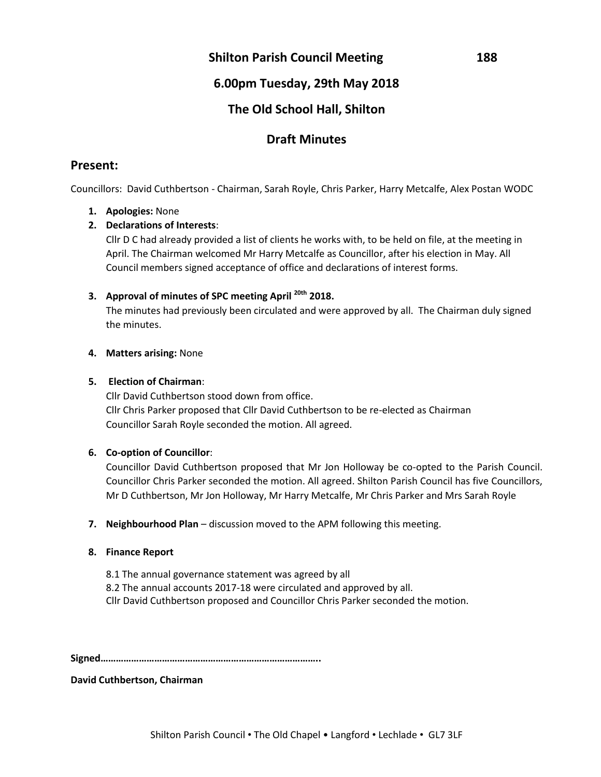### **Shilton Parish Council Meeting 188**

# **6.00pm Tuesday, 29th May 2018**

# **The Old School Hall, Shilton**

# **Draft Minutes**

### **Present:**

Councillors: David Cuthbertson - Chairman, Sarah Royle, Chris Parker, Harry Metcalfe, Alex Postan WODC

### **1. Apologies:** None

### **2. Declarations of Interests**:

Cllr D C had already provided a list of clients he works with, to be held on file, at the meeting in April. The Chairman welcomed Mr Harry Metcalfe as Councillor, after his election in May. All Council members signed acceptance of office and declarations of interest forms.

### **3. Approval of minutes of SPC meeting April 20th 2018.**

The minutes had previously been circulated and were approved by all. The Chairman duly signed the minutes.

### **4. Matters arising:** None

### **5. Election of Chairman**:

Cllr David Cuthbertson stood down from office. Cllr Chris Parker proposed that Cllr David Cuthbertson to be re-elected as Chairman Councillor Sarah Royle seconded the motion. All agreed.

### **6. Co-option of Councillor**:

Councillor David Cuthbertson proposed that Mr Jon Holloway be co-opted to the Parish Council. Councillor Chris Parker seconded the motion. All agreed. Shilton Parish Council has five Councillors, Mr D Cuthbertson, Mr Jon Holloway, Mr Harry Metcalfe, Mr Chris Parker and Mrs Sarah Royle

**7. Neighbourhood Plan** – discussion moved to the APM following this meeting.

### **8. Finance Report**

8.1 The annual governance statement was agreed by all 8.2 The annual accounts 2017-18 were circulated and approved by all. Cllr David Cuthbertson proposed and Councillor Chris Parker seconded the motion.

**Signed…………………………………………………………………………..**

**David Cuthbertson, Chairman**